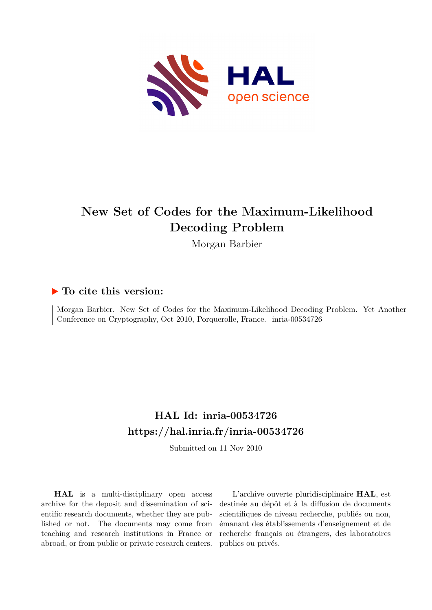

# **New Set of Codes for the Maximum-Likelihood Decoding Problem**

Morgan Barbier

### **To cite this version:**

Morgan Barbier. New Set of Codes for the Maximum-Likelihood Decoding Problem. Yet Another Conference on Cryptography, Oct 2010, Porquerolle, France. inria-00534726

## **HAL Id: inria-00534726 <https://hal.inria.fr/inria-00534726>**

Submitted on 11 Nov 2010

**HAL** is a multi-disciplinary open access archive for the deposit and dissemination of scientific research documents, whether they are published or not. The documents may come from teaching and research institutions in France or abroad, or from public or private research centers.

L'archive ouverte pluridisciplinaire **HAL**, est destinée au dépôt et à la diffusion de documents scientifiques de niveau recherche, publiés ou non, émanant des établissements d'enseignement et de recherche français ou étrangers, des laboratoires publics ou privés.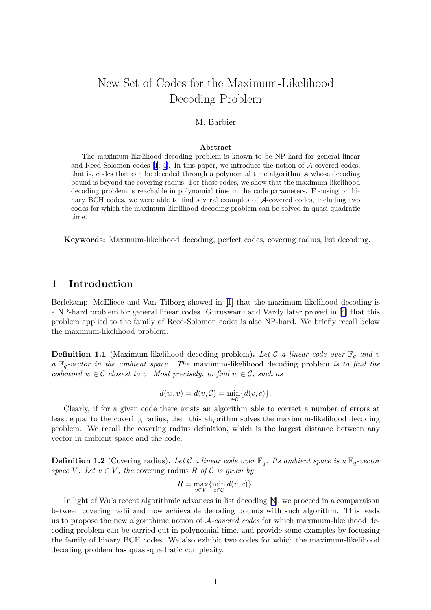## <span id="page-1-0"></span>New Set of Codes for the Maximum-Likelihood Decoding Problem

#### M. Barbier

#### Abstract

The maximum-likelihood decoding problem is known to be NP-hard for general linear and Reed-Solomon codes [\[1](#page-5-0), [4\]](#page-5-0). In this paper, we introduce the notion of A-covered codes, that is, codes that can be decoded through a polynomial time algorithm  $A$  whose decoding bound is beyond the covering radius. For these codes, we show that the maximum-likelihood decoding problem is reachable in polynomial time in the code parameters. Focusing on binary BCH codes, we were able to find several examples of A-covered codes, including two codes for which the maximum-likelihood decoding problem can be solved in quasi-quadratic time.

Keywords: Maximum-likelihood decoding, perfect codes, covering radius, list decoding.

#### 1 Introduction

Berlekamp, McEliece and Van Tilborg showed in[[1](#page-5-0)] that the maximum-likelihood decoding is a NP-hard problem for general linear codes. Guruswami and Vardy later proved in [\[4\]](#page-5-0) that this problem applied to the family of Reed-Solomon codes is also NP-hard. We briefly recall below the maximum-likelihood problem.

**Definition 1.1** (Maximum-likelihood decoding problem). Let C *a linear code over*  $\mathbb{F}_q$  *and* v *a* Fq*-vector in the ambient space. The* maximum-likelihood decoding problem *is to find the codeword*  $w \in \mathcal{C}$  *closest to* v. Most precisely, to find  $w \in \mathcal{C}$ , such as

$$
d(w,v)=d(v,\mathcal{C})=\min_{c\in\mathcal{C}}\{d(v,c)\}.
$$

Clearly, if for a given code there exists an algorithm able to correct a number of errors at least equal to the covering radius, then this algorithm solves the maximum-likelihood decoding problem. We recall the covering radius definition, which is the largest distance between any vector in ambient space and the code.

**Definition 1.2** (Covering radius). Let C a linear code over  $\mathbb{F}_q$ . Its ambient space is a  $\mathbb{F}_q$ -vector *space* V. Let  $v \in V$ , the covering radius R of C *is given by* 

$$
R=\max_{v\in V}\{\min_{c\in\mathcal{C}}d(v,c)\}.
$$

In light of Wu's recent algorithmic advances in list decoding[[8](#page-5-0)], we proceed in a comparaison between covering radii and now achievable decoding bounds with such algorithm. This leads us to propose the new algorithmic notion of A*-covered codes* for which maximum-likelihood decoding problem can be carried out in polynomial time, and provide some examples by focussing the family of binary BCH codes. We also exhibit two codes for which the maximum-likelihood decoding problem has quasi-quadratic complexity.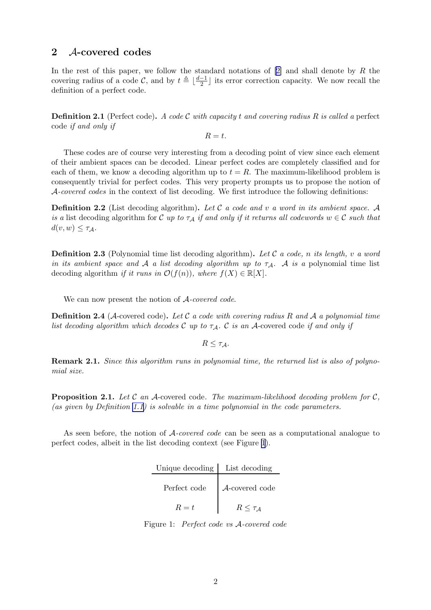#### 2 A-covered codes

In the rest of this paper, we follow the standard notations of  $[2]$  and shall denote by R the covering radius of a code C, and by  $t \triangleq \lfloor \frac{d-1}{2} \rfloor$  its error correction capacity. We now recall the definition of a perfect code.

Definition 2.1 (Perfect code). *A code* C *with capacity* t *and covering radius* R *is called a* perfect code *if and only if*

 $R = t$ .

These codes are of course very interesting from a decoding point of view since each element of their ambient spaces can be decoded. Linear perfect codes are completely classified and for each of them, we know a decoding algorithm up to  $t = R$ . The maximum-likelihood problem is consequently trivial for perfect codes. This very property prompts us to propose the notion of A*-covered codes* in the context of list decoding. We first introduce the following definitions:

Definition 2.2 (List decoding algorithm). *Let* C *a code and* v *a word in its ambient space.* A *is a* list decoding algorithm for C *up to*  $\tau_A$  *if and only if it returns all codewords*  $w \in C$  *such that*  $d(v, w) \leq \tau_{\mathcal{A}}$ .

Definition 2.3 (Polynomial time list decoding algorithm). *Let* C *a code,* n *its length,* v *a word in its ambient space and* A *a list decoding algorithm up to*  $\tau_A$ . A *is a* polynomial time list decoding algorithm *if it runs in*  $\mathcal{O}(f(n))$ *, where*  $f(X) \in \mathbb{R}[X]$ *.* 

We can now present the notion of A*-covered code*.

Definition 2.4 (A-covered code). *Let* C *a code with covering radius* R *and* A *a polynomial time list decoding algorithm which decodes*  $C$  *up to*  $\tau_A$ *.*  $C$  *is an*  $A$ -covered code *if and only if* 

 $R \leq \tau_A$ .

Remark 2.1. *Since this algorithm runs in polynomial time, the returned list is also of polynomial size.*

Proposition 2.1. *Let* C *an* A-covered code*. The maximum-likelihood decoding problem for* C*, (as given by Definition [1.1\)](#page-1-0) is solvable in a time polynomial in the code parameters.*

As seen before, the notion of A*-covered code* can be seen as a computational analogue to perfect codes, albeit in the list decoding context (see Figure 1).

| Unique decoding   List decoding |                 |
|---------------------------------|-----------------|
| Perfect code                    | A-covered code  |
| $R=t$                           | $R \leq \tau_A$ |

Figure 1: *Perfect code vs* A*-covered code*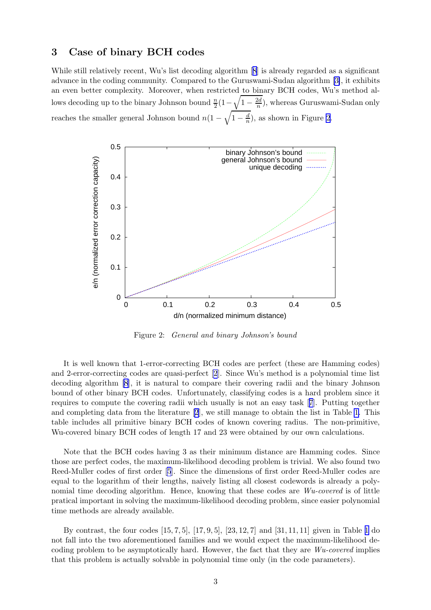#### 3 Case of binary BCH codes

Whilestill relatively recent, Wu's list decoding algorithm [[8](#page-5-0)] is already regarded as a significant advance in the coding community. Compared to the Guruswami-Sudan algorithm [\[3\]](#page-5-0), it exhibits an even better complexity. Moreover, when restricted to binary BCH codes, Wu's method allows decoding up to the binary Johnson bound  $\frac{n}{2}(1-\sqrt{1-\frac{2d}{n}})$  $\frac{2d}{n}$ ), whereas Guruswami-Sudan only reaches the smaller general Johnson bound  $n(1-\sqrt{1-\frac{d}{n}})$ , as shown in Figure 2.



Figure 2: *General and binary Johnson's bound*

It is well known that 1-error-correcting BCH codes are perfect (these are Hamming codes) and 2-error-correcting codes are quasi-perfect[[2](#page-5-0)]. Since Wu's method is a polynomial time list decoding algorithm [\[8](#page-5-0)], it is natural to compare their covering radii and the binary Johnson bound of other binary BCH codes. Unfortunately, classifying codes is a hard problem since it requires to compute the covering radii which usually is not an easy task[[7](#page-5-0)]. Putting together and completing data from the literature[[2](#page-5-0)], we still manage to obtain the list in Table [1.](#page-4-0) This table includes all primitive binary BCH codes of known covering radius. The non-primitive, Wu-covered binary BCH codes of length 17 and 23 were obtained by our own calculations.

Note that the BCH codes having 3 as their minimum distance are Hamming codes. Since those are perfect codes, the maximum-likelihood decoding problem is trivial. We also found two Reed-Muller codes of first order [\[5](#page-5-0)]. Since the dimensions of first order Reed-Muller codes are equal to the logarithm of their lengths, naively listing all closest codewords is already a polynomial time decoding algorithm. Hence, knowing that these codes are *Wu-covered* is of little pratical important in solving the maximum-likelihood decoding problem, since easier polynomial time methods are already available.

By contrast, the four codes [15, 7, 5], [17, 9, 5], [23, 12, 7] and [31, 11, 11] given in Table [1](#page-4-0) do not fall into the two aforementioned families and we would expect the maximum-likelihood decoding problem to be asymptotically hard. However, the fact that they are *Wu-covered* implies that this problem is actually solvable in polynomial time only (in the code parameters).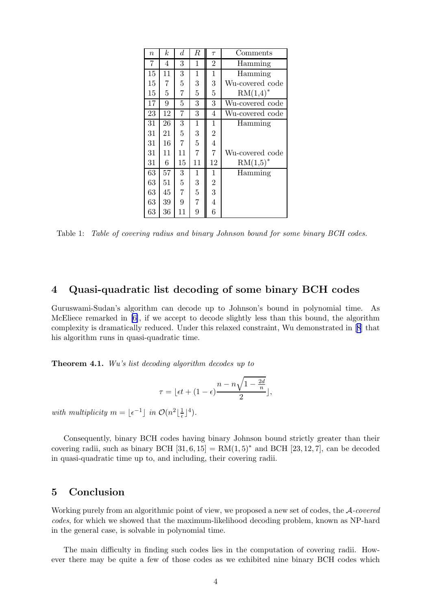<span id="page-4-0"></span>

| $\boldsymbol{n}$ | k  | $\boldsymbol{d}$ | $\boldsymbol{R}$ | $\tau$         | Comments        |
|------------------|----|------------------|------------------|----------------|-----------------|
| 7                | 4  | 3                | 1                | $\overline{2}$ | Hamming         |
| 15               | 11 | 3                | $\mathbf 1$      | $\mathbf{1}$   | Hamming         |
| 15               | 7  | 5                | 3                | 3              | Wu-covered code |
| 15               | 5  | 7                | 5                | $\overline{5}$ | $RM(1,4)^*$     |
| 17               | 9  | $\overline{5}$   | 3                | 3              | Wu-covered code |
| 23               | 12 | 7                | 3                | 4              | Wu-covered code |
| 31               | 26 | 3                | $\mathbf 1$      | $\mathbf 1$    | Hamming         |
| 31               | 21 | 5                | 3                | $\overline{2}$ |                 |
| 31               | 16 | $\overline{7}$   | $\overline{5}$   | $\overline{4}$ |                 |
| 31               | 11 | 11               | $\overline{7}$   | $\overline{7}$ | Wu-covered code |
| 31               | 6  | 15               | 11               | 12             | $RM(1,5)^*$     |
| 63               | 57 | 3                | 1                | $\mathbf{1}$   | Hamming         |
| 63               | 51 | $\overline{5}$   | 3                | $\overline{c}$ |                 |
| 63               | 45 | $\overline{7}$   | 5                | 3              |                 |
| 63               | 39 | 9                | $\overline{7}$   | $\overline{4}$ |                 |
| 63               | 36 | 11               | 9                | 6              |                 |

Table 1: *Table of covering radius and binary Johnson bound for some binary BCH codes.*

#### 4 Quasi-quadratic list decoding of some binary BCH codes

Guruswami-Sudan's algorithm can decode up to Johnson's bound in polynomial time. As McEliece remarked in [\[6\]](#page-5-0), if we accept to decode slightly less than this bound, the algorithm complexity is dramatically reduced. Under this relaxed constraint, Wu demonstrated in[[8](#page-5-0)] that his algorithm runs in quasi-quadratic time.

Theorem 4.1. *Wu's list decoding algorithm decodes up to*

$$
\tau = \lfloor \epsilon t + (1 - \epsilon) \frac{n - n\sqrt{1 - \frac{2d}{n}}}{2} \rfloor,
$$

*with multiplicity*  $m = \lfloor \epsilon^{-1} \rfloor$  *in*  $\mathcal{O}(n^2) \lfloor \frac{1}{\epsilon} \rfloor$  $\frac{1}{\epsilon}$ ]<sup>4</sup>).

Consequently, binary BCH codes having binary Johnson bound strictly greater than their covering radii, such as binary BCH  $[31, 6, 15] = RM(1, 5)^*$  and BCH  $[23, 12, 7]$ , can be decoded in quasi-quadratic time up to, and including, their covering radii.

#### 5 Conclusion

Working purely from an algorithmic point of view, we proposed a new set of codes, the A*-covered codes*, for which we showed that the maximum-likelihood decoding problem, known as NP-hard in the general case, is solvable in polynomial time.

The main difficulty in finding such codes lies in the computation of covering radii. However there may be quite a few of those codes as we exhibited nine binary BCH codes which